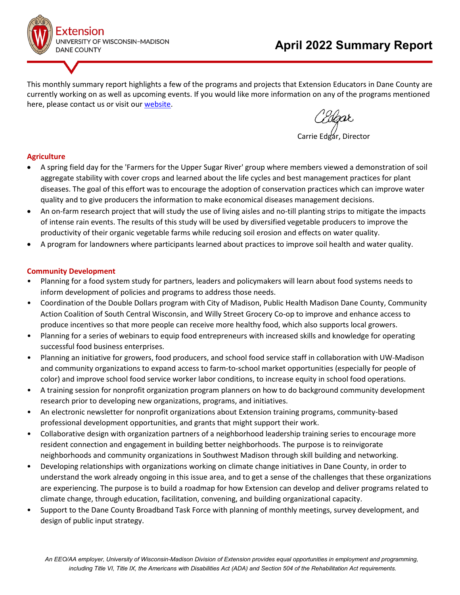

This monthly summary report highlights a few of the programs and projects that Extension Educators in Dane County are currently working on as well as upcoming events. If you would like more information on any of the programs mentioned here, please contact us or visit our [website.](https://dane.extension.wisc.edu/)

C*Eldgar*<br>rie Edgar, Director

### **Agriculture**

- A spring field day for the 'Farmers for the Upper Sugar River' group where members viewed a demonstration of soil aggregate stability with cover crops and learned about the life cycles and best management practices for plant diseases. The goal of this effort was to encourage the adoption of conservation practices which can improve water quality and to give producers the information to make economical diseases management decisions.
- An on-farm research project that will study the use of living aisles and no-till planting strips to mitigate the impacts of intense rain events. The results of this study will be used by diversified vegetable producers to improve the productivity of their organic vegetable farms while reducing soil erosion and effects on water quality.
- A program for landowners where participants learned about practices to improve soil health and water quality.

### **Community Development**

- Planning for a food system study for partners, leaders and policymakers will learn about food systems needs to inform development of policies and programs to address those needs.
- Coordination of the Double Dollars program with City of Madison, Public Health Madison Dane County, Community Action Coalition of South Central Wisconsin, and Willy Street Grocery Co-op to improve and enhance access to produce incentives so that more people can receive more healthy food, which also supports local growers.
- Planning for a series of webinars to equip food entrepreneurs with increased skills and knowledge for operating successful food business enterprises.
- Planning an initiative for growers, food producers, and school food service staff in collaboration with UW-Madison and community organizations to expand access to farm-to-school market opportunities (especially for people of color) and improve school food service worker labor conditions, to increase equity in school food operations.
- A training session for nonprofit organization program planners on how to do background community development research prior to developing new organizations, programs, and initiatives.
- An electronic newsletter for nonprofit organizations about Extension training programs, community-based professional development opportunities, and grants that might support their work.
- Collaborative design with organization partners of a neighborhood leadership training series to encourage more resident connection and engagement in building better neighborhoods. The purpose is to reinvigorate neighborhoods and community organizations in Southwest Madison through skill building and networking.
- Developing relationships with organizations working on climate change initiatives in Dane County, in order to understand the work already ongoing in this issue area, and to get a sense of the challenges that these organizations are experiencing. The purpose is to build a roadmap for how Extension can develop and deliver programs related to climate change, through education, facilitation, convening, and building organizational capacity.
- Support to the Dane County Broadband Task Force with planning of monthly meetings, survey development, and design of public input strategy.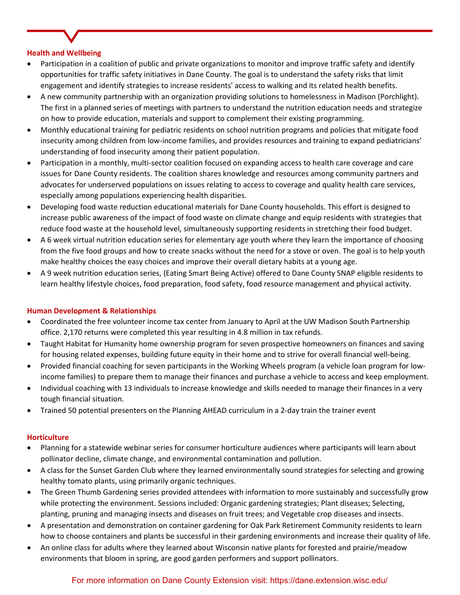### **Health and Wellbeing**

- Participation in a coalition of public and private organizations to monitor and improve traffic safety and identify opportunities for traffic safety initiatives in Dane County. The goal is to understand the safety risks that limit engagement and identify strategies to increase residents' access to walking and its related health benefits.
- A new community partnership with an organization providing solutions to homelessness in Madison (Porchlight). The first in a planned series of meetings with partners to understand the nutrition education needs and strategize on how to provide education, materials and support to complement their existing programming.
- Monthly educational training for pediatric residents on school nutrition programs and policies that mitigate food insecurity among children from low-income families, and provides resources and training to expand pediatricians' understanding of food insecurity among their patient population.
- Participation in a monthly, multi-sector coalition focused on expanding access to health care coverage and care issues for Dane County residents. The coalition shares knowledge and resources among community partners and advocates for underserved populations on issues relating to access to coverage and quality health care services, especially among populations experiencing health disparities.
- Developing food waste reduction educational materials for Dane County households. This effort is designed to increase public awareness of the impact of food waste on climate change and equip residents with strategies that reduce food waste at the household level, simultaneously supporting residents in stretching their food budget.
- A 6 week virtual nutrition education series for elementary age youth where they learn the importance of choosing from the five food groups and how to create snacks without the need for a stove or oven. The goal is to help youth make healthy choices the easy choices and improve their overall dietary habits at a young age.
- A 9 week nutrition education series, (Eating Smart Being Active) offered to Dane County SNAP eligible residents to learn healthy lifestyle choices, food preparation, food safety, food resource management and physical activity.

### **Human Development & Relationships**

- Coordinated the free volunteer income tax center from January to April at the UW Madison South Partnership office. 2,170 returns were completed this year resulting in 4.8 million in tax refunds.
- Taught Habitat for Humanity home ownership program for seven prospective homeowners on finances and saving for housing related expenses, building future equity in their home and to strive for overall financial well-being.
- Provided financial coaching for seven participants in the Working Wheels program (a vehicle loan program for lowincome families) to prepare them to manage their finances and purchase a vehicle to access and keep employment.
- Individual coaching with 13 individuals to increase knowledge and skills needed to manage their finances in a very tough financial situation.
- Trained 50 potential presenters on the Planning AHEAD curriculum in a 2-day train the trainer event

### **Horticulture**

- Planning for a statewide webinar series for consumer horticulture audiences where participants will learn about pollinator decline, climate change, and environmental contamination and pollution.
- A class for the Sunset Garden Club where they learned environmentally sound strategies for selecting and growing healthy tomato plants, using primarily organic techniques.
- The Green Thumb Gardening series provided attendees with information to more sustainably and successfully grow while protecting the environment. Sessions included: Organic gardening strategies; Plant diseases; Selecting, planting, pruning and managing insects and diseases on fruit trees; and Vegetable crop diseases and insects.
- A presentation and demonstration on container gardening for Oak Park Retirement Community residents to learn how to choose containers and plants be successful in their gardening environments and increase their quality of life.
- An online class for adults where they learned about Wisconsin native plants for forested and prairie/meadow environments that bloom in spring, are good garden performers and support pollinators.

# For more information on Dane County Extension visit: https://dane.extension.wisc.edu/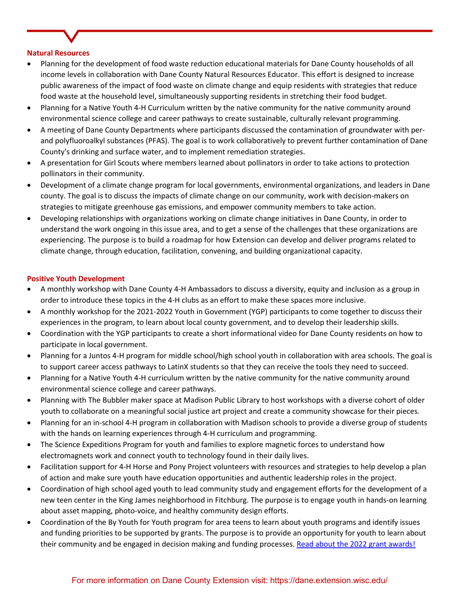### **Natural Resources**

- Planning for the development of food waste reduction educational materials for Dane County households of all income levels in collaboration with Dane County Natural Resources Educator. This effort is designed to increase public awareness of the impact of food waste on climate change and equip residents with strategies that reduce food waste at the household level, simultaneously supporting residents in stretching their food budget.
- Planning for a Native Youth 4-H Curriculum written by the native community for the native community around environmental science college and career pathways to create sustainable, culturally relevant programming.
- A meeting of Dane County Departments where participants discussed the contamination of groundwater with perand polyfluoroalkyl substances (PFAS). The goal is to work collaboratively to prevent further contamination of Dane County's drinking and surface water, and to implement remediation strategies.
- A presentation for Girl Scouts where members learned about pollinators in order to take actions to protection pollinators in their community.
- Development of a climate change program for local governments, environmental organizations, and leaders in Dane county. The goal is to discuss the impacts of climate change on our community, work with decision-makers on strategies to mitigate greenhouse gas emissions, and empower community members to take action.
- Developing relationships with organizations working on climate change initiatives in Dane County, in order to understand the work ongoing in this issue area, and to get a sense of the challenges that these organizations are experiencing. The purpose is to build a roadmap for how Extension can develop and deliver programs related to climate change, through education, facilitation, convening, and building organizational capacity.

### **Positive Youth Development**

- A monthly workshop with Dane County 4-H Ambassadors to discuss a diversity, equity and inclusion as a group in order to introduce these topics in the 4-H clubs as an effort to make these spaces more inclusive.
- A monthly workshop for the 2021-2022 Youth in Government (YGP) participants to come together to discuss their experiences in the program, to learn about local county government, and to develop their leadership skills.
- Coordination with the YGP participants to create a short informational video for Dane County residents on how to participate in local government.
- Planning for a Juntos 4-H program for middle school/high school youth in collaboration with area schools. The goal is to support career access pathways to LatinX students so that they can receive the tools they need to succeed.
- Planning for a Native Youth 4-H curriculum written by the native community for the native community around environmental science college and career pathways.
- Planning with The Bubbler maker space at Madison Public Library to host workshops with a diverse cohort of older youth to collaborate on a meaningful social justice art project and create a community showcase for their pieces.
- Planning for an in-school 4-H program in collaboration with Madison schools to provide a diverse group of students with the hands on learning experiences through 4-H curriculum and programming.
- The Science Expeditions Program for youth and families to explore magnetic forces to understand how electromagnets work and connect youth to technology found in their daily lives.
- Facilitation support for 4-H Horse and Pony Project volunteers with resources and strategies to help develop a plan of action and make sure youth have education opportunities and authentic leadership roles in the project.
- Coordination of high school aged youth to lead community study and engagement efforts for the development of a new teen center in the King James neighborhood in Fitchburg. The purpose is to engage youth in hands-on learning about asset mapping, photo-voice, and healthy community design efforts.
- Coordination of the By Youth for Youth program for area teens to learn about youth programs and identify issues and funding priorities to be supported by grants. The purpose is to provide an opportunity for youth to learn about their community and be engaged in decision making and funding processes. [Read about the 2022 grant awards!](https://www.unitedwaydanecounty.org/wp-content/uploads/Press-Release_By-Youth-For-Youth-Awards-26130-to-Local-Youth-Programs.pdf)

## For more information on Dane County Extension visit: https://dane.extension.wisc.edu/